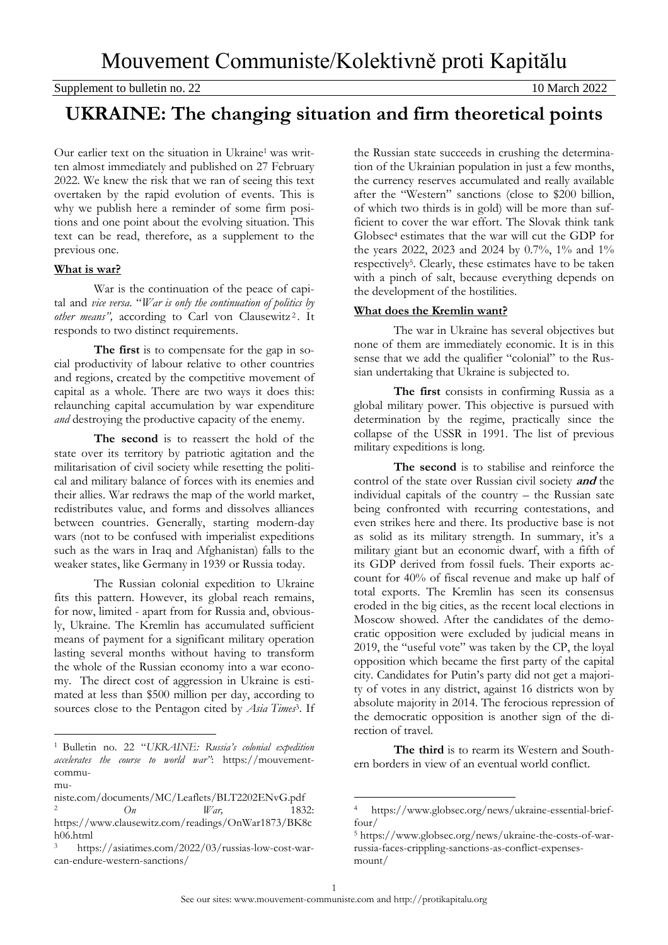# **UKRAINE: The changing situation and firm theoretical points**

Our earlier text on the situation in Ukraine<sup>1</sup> was written almost immediately and published on 27 February 2022. We knew the risk that we ran of seeing this text overtaken by the rapid evolution of events. This is why we publish here a reminder of some firm positions and one point about the evolving situation. This text can be read, therefore, as a supplement to the previous one.

## **What is war?**

War is the continuation of the peace of capital and *vice versa*. "*War is only the continuation of politics by* other means", according to Carl von Clausewitz<sup>2</sup>. It responds to two distinct requirements.

**The first** is to compensate for the gap in social productivity of labour relative to other countries and regions, created by the competitive movement of capital as a whole. There are two ways it does this: relaunching capital accumulation by war expenditure *and* destroying the productive capacity of the enemy.

**The second** is to reassert the hold of the state over its territory by patriotic agitation and the militarisation of civil society while resetting the political and military balance of forces with its enemies and their allies. War redraws the map of the world market, redistributes value, and forms and dissolves alliances between countries. Generally, starting modern-day wars (not to be confused with imperialist expeditions such as the wars in Iraq and Afghanistan) falls to the weaker states, like Germany in 1939 or Russia today.

The Russian colonial expedition to Ukraine fits this pattern. However, its global reach remains, for now, limited - apart from for Russia and, obviously, Ukraine. The Kremlin has accumulated sufficient means of payment for a significant military operation lasting several months without having to transform the whole of the Russian economy into a war economy. The direct cost of aggression in Ukraine is estimated at less than \$500 million per day, according to sources close to the Pentagon cited by *Asia Times*<sup>3</sup>. If

 $\overline{a}$ 

the Russian state succeeds in crushing the determination of the Ukrainian population in just a few months, the currency reserves accumulated and really available after the "Western" sanctions (close to \$200 billion, of which two thirds is in gold) will be more than sufficient to cover the war effort. The Slovak think tank Globsec<sup>4</sup> estimates that the war will cut the GDP for the years 2022, 2023 and 2024 by 0.7%, 1% and 1% respectively<sup>5</sup> . Clearly, these estimates have to be taken with a pinch of salt, because everything depends on the development of the hostilities.

# **What does the Kremlin want?**

The war in Ukraine has several objectives but none of them are immediately economic. It is in this sense that we add the qualifier "colonial" to the Russian undertaking that Ukraine is subjected to.

**The first** consists in confirming Russia as a global military power. This objective is pursued with determination by the regime, practically since the collapse of the USSR in 1991. The list of previous military expeditions is long.

**The second** is to stabilise and reinforce the control of the state over Russian civil society **and** the individual capitals of the country – the Russian sate being confronted with recurring contestations, and even strikes here and there. Its productive base is not as solid as its military strength. In summary, it's a military giant but an economic dwarf, with a fifth of its GDP derived from fossil fuels. Their exports account for 40% of fiscal revenue and make up half of total exports. The Kremlin has seen its consensus eroded in the big cities, as the recent local elections in Moscow showed. After the candidates of the democratic opposition were excluded by judicial means in 2019, the "useful vote" was taken by the CP, the loyal opposition which became the first party of the capital city. Candidates for Putin's party did not get a majority of votes in any district, against 16 districts won by absolute majority in 2014. The ferocious repression of the democratic opposition is another sign of the direction of travel.

**The third** is to rearm its Western and Southern borders in view of an eventual world conflict.

 $\overline{a}$ 

<sup>1</sup> Bulletin no. 22 "*UKRAINE: Russia's colonial expedition accelerates the course to world war"*: [https://mouvement](https://mouvement-communiste.com/documents/MC/Leaflets/BLT2202ENvG.pdf)[commu-](https://mouvement-communiste.com/documents/MC/Leaflets/BLT2202ENvG.pdf)

[mu-](https://mouvement-communiste.com/documents/MC/Leaflets/BLT2202ENvG.pdf)

[niste.com/documents/MC/Leaflets/BLT2202ENvG.pdf](https://mouvement-communiste.com/documents/MC/Leaflets/BLT2202ENvG.pdf)

<sup>2</sup> *On War,* 1832: [https://www.clausewitz.com/readings/OnWar1873/BK8c](https://www.clausewitz.com/readings/OnWar1873/BK8ch06.html) [h06.html](https://www.clausewitz.com/readings/OnWar1873/BK8ch06.html)

[https://asiatimes.com/2022/03/russias-low-cost-war](https://asiatimes.com/2022/03/russias-low-cost-war-can-endure-western-sanctions/)[can-endure-western-sanctions/](https://asiatimes.com/2022/03/russias-low-cost-war-can-endure-western-sanctions/)

<sup>4</sup> [https://www.globsec.org/news/ukraine-essential-brief](https://www.globsec.org/news/ukraine-essential-brief-four/)[four/](https://www.globsec.org/news/ukraine-essential-brief-four/)

<sup>5</sup> [https://www.globsec.org/news/ukraine-the-costs-of-war](https://www.globsec.org/news/ukraine-the-costs-of-war-russia-faces-crippling-sanctions-as-conflict-expenses-mount/)[russia-faces-crippling-sanctions-as-conflict-expenses](https://www.globsec.org/news/ukraine-the-costs-of-war-russia-faces-crippling-sanctions-as-conflict-expenses-mount/)[mount/](https://www.globsec.org/news/ukraine-the-costs-of-war-russia-faces-crippling-sanctions-as-conflict-expenses-mount/)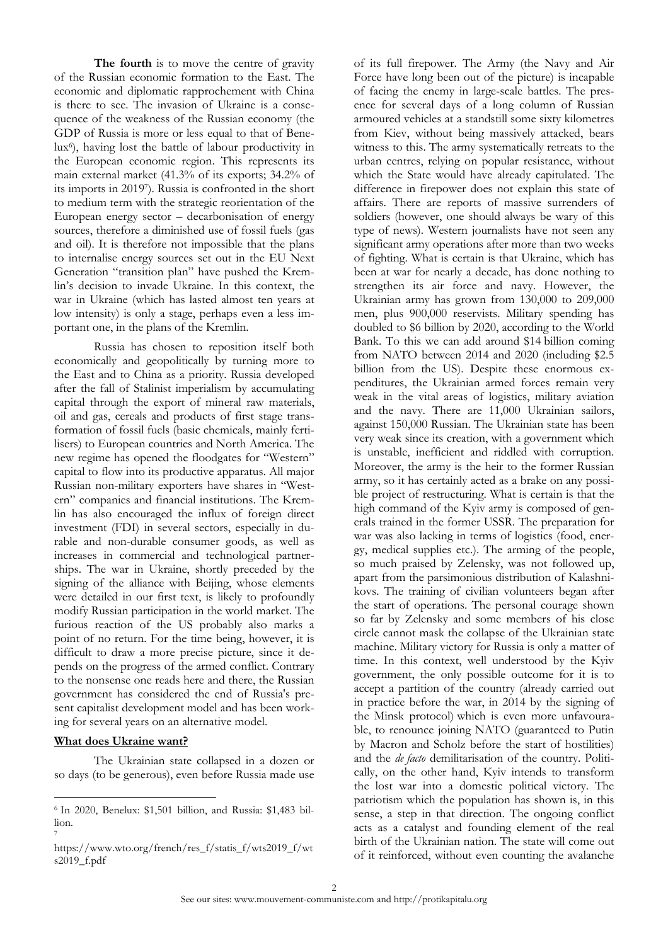**The fourth** is to move the centre of gravity of the Russian economic formation to the East. The economic and diplomatic rapprochement with China is there to see. The invasion of Ukraine is a consequence of the weakness of the Russian economy (the GDP of Russia is more or less equal to that of Benelux<sup>6</sup> ), having lost the battle of labour productivity in the European economic region. This represents its main external market (41.3% of its exports; 34.2% of its imports in 2019<sup>7</sup> ). Russia is confronted in the short to medium term with the strategic reorientation of the European energy sector – decarbonisation of energy sources, therefore a diminished use of fossil fuels (gas and oil). It is therefore not impossible that the plans to internalise energy sources set out in the EU Next Generation "transition plan" have pushed the Kremlin's decision to invade Ukraine. In this context, the war in Ukraine (which has lasted almost ten years at low intensity) is only a stage, perhaps even a less important one, in the plans of the Kremlin.

Russia has chosen to reposition itself both economically and geopolitically by turning more to the East and to China as a priority. Russia developed after the fall of Stalinist imperialism by accumulating capital through the export of mineral raw materials, oil and gas, cereals and products of first stage transformation of fossil fuels (basic chemicals, mainly fertilisers) to European countries and North America. The new regime has opened the floodgates for "Western" capital to flow into its productive apparatus. All major Russian non-military exporters have shares in "Western" companies and financial institutions. The Kremlin has also encouraged the influx of foreign direct investment (FDI) in several sectors, especially in durable and non-durable consumer goods, as well as increases in commercial and technological partnerships. The war in Ukraine, shortly preceded by the signing of the alliance with Beijing, whose elements were detailed in our first text, is likely to profoundly modify Russian participation in the world market. The furious reaction of the US probably also marks a point of no return. For the time being, however, it is difficult to draw a more precise picture, since it depends on the progress of the armed conflict. Contrary to the nonsense one reads here and there, the Russian government has considered the end of Russia's present capitalist development model and has been working for several years on an alternative model.

#### **What does Ukraine want?**

 $\overline{a}$ 

The Ukrainian state collapsed in a dozen or so days (to be generous), even before Russia made use

of its full firepower. The Army (the Navy and Air Force have long been out of the picture) is incapable of facing the enemy in large-scale battles. The presence for several days of a long column of Russian armoured vehicles at a standstill some sixty kilometres from Kiev, without being massively attacked, bears witness to this. The army systematically retreats to the urban centres, relying on popular resistance, without which the State would have already capitulated. The difference in firepower does not explain this state of affairs. There are reports of massive surrenders of soldiers (however, one should always be wary of this type of news). Western journalists have not seen any significant army operations after more than two weeks of fighting. What is certain is that Ukraine, which has been at war for nearly a decade, has done nothing to strengthen its air force and navy. However, the Ukrainian army has grown from 130,000 to 209,000 men, plus 900,000 reservists. Military spending has doubled to \$6 billion by 2020, according to the World Bank. To this we can add around \$14 billion coming from NATO between 2014 and 2020 (including \$2.5 billion from the US). Despite these enormous expenditures, the Ukrainian armed forces remain very weak in the vital areas of logistics, military aviation and the navy. There are 11,000 Ukrainian sailors, against 150,000 Russian. The Ukrainian state has been very weak since its creation, with a government which is unstable, inefficient and riddled with corruption. Moreover, the army is the heir to the former Russian army, so it has certainly acted as a brake on any possible project of restructuring. What is certain is that the high command of the Kyiv army is composed of generals trained in the former USSR. The preparation for war was also lacking in terms of logistics (food, energy, medical supplies etc.). The arming of the people, so much praised by Zelensky, was not followed up, apart from the parsimonious distribution of Kalashnikovs. The training of civilian volunteers began after the start of operations. The personal courage shown so far by Zelensky and some members of his close circle cannot mask the collapse of the Ukrainian state machine. Military victory for Russia is only a matter of time. In this context, well understood by the Kyiv government, the only possible outcome for it is to accept a partition of the country (already carried out in practice before the war, in 2014 by the signing of the Minsk protocol) which is even more unfavourable, to renounce joining NATO (guaranteed to Putin by Macron and Scholz before the start of hostilities) and the *de facto* demilitarisation of the country. Politically, on the other hand, Kyiv intends to transform the lost war into a domestic political victory. The patriotism which the population has shown is, in this sense, a step in that direction. The ongoing conflict acts as a catalyst and founding element of the real birth of the Ukrainian nation. The state will come out of it reinforced, without even counting the avalanche

<sup>6</sup> In 2020, Benelux: \$1,501 billion, and Russia: \$1,483 billion. 7

https://www.wto.org/french/res\_f/statis\_f/wts2019\_f/wt s2019\_f.pdf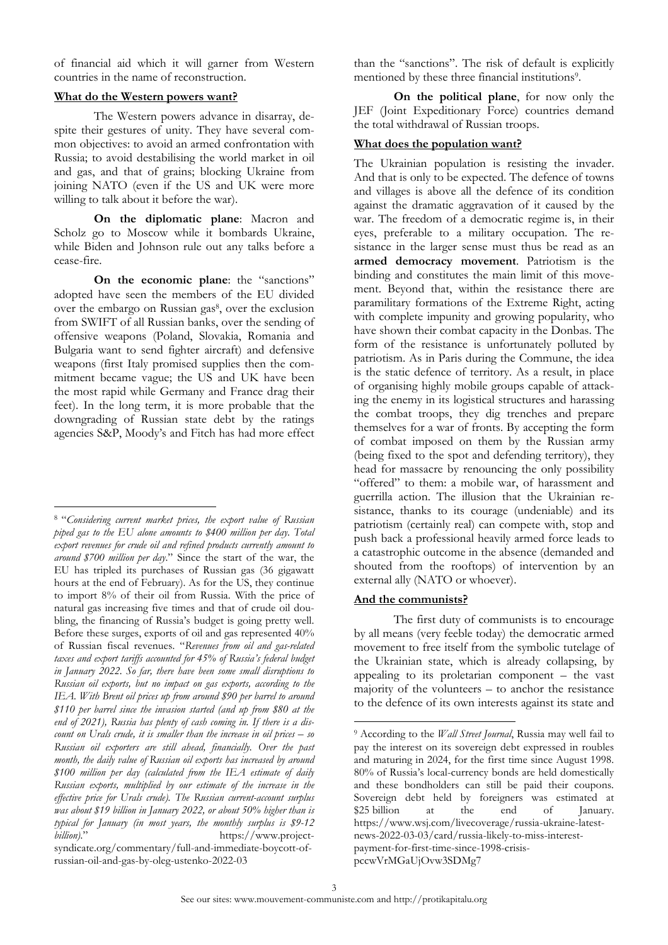of financial aid which it will garner from Western countries in the name of reconstruction.

#### **What do the Western powers want?**

The Western powers advance in disarray, despite their gestures of unity. They have several common objectives: to avoid an armed confrontation with Russia; to avoid destabilising the world market in oil and gas, and that of grains; blocking Ukraine from joining NATO (even if the US and UK were more willing to talk about it before the war).

**On the diplomatic plane**: Macron and Scholz go to Moscow while it bombards Ukraine, while Biden and Johnson rule out any talks before a cease-fire.

**On the economic plane**: the "sanctions" adopted have seen the members of the EU divided over the embargo on Russian gas<sup>8</sup>, over the exclusion from SWIFT of all Russian banks, over the sending of offensive weapons (Poland, Slovakia, Romania and Bulgaria want to send fighter aircraft) and defensive weapons (first Italy promised supplies then the commitment became vague; the US and UK have been the most rapid while Germany and France drag their feet). In the long term, it is more probable that the downgrading of Russian state debt by the ratings agencies S&P, Moody's and Fitch has had more effect

 $\overline{a}$ 

[russian-oil-and-gas-by-oleg-ustenko-2022-03](https://www.project-syndicate.org/commentary/full-and-immediate-boycott-of-russian-oil-and-gas-by-oleg-ustenko-2022-03)

than the "sanctions". The risk of default is explicitly mentioned by these three financial institutions<sup>9</sup>.

**On the political plane**, for now only the JEF (Joint Expeditionary Force) countries demand the total withdrawal of Russian troops.

#### **What does the population want?**

The Ukrainian population is resisting the invader. And that is only to be expected. The defence of towns and villages is above all the defence of its condition against the dramatic aggravation of it caused by the war. The freedom of a democratic regime is, in their eyes, preferable to a military occupation. The resistance in the larger sense must thus be read as an **armed democracy movement**. Patriotism is the binding and constitutes the main limit of this movement. Beyond that, within the resistance there are paramilitary formations of the Extreme Right, acting with complete impunity and growing popularity, who have shown their combat capacity in the Donbas. The form of the resistance is unfortunately polluted by patriotism. As in Paris during the Commune, the idea is the static defence of territory. As a result, in place of organising highly mobile groups capable of attacking the enemy in its logistical structures and harassing the combat troops, they dig trenches and prepare themselves for a war of fronts. By accepting the form of combat imposed on them by the Russian army (being fixed to the spot and defending territory), they head for massacre by renouncing the only possibility "offered" to them: a mobile war, of harassment and guerrilla action. The illusion that the Ukrainian resistance, thanks to its courage (undeniable) and its patriotism (certainly real) can compete with, stop and push back a professional heavily armed force leads to a catastrophic outcome in the absence (demanded and shouted from the rooftops) of intervention by an external ally (NATO or whoever).

### **And the communists?**

The first duty of communists is to encourage by all means (very feeble today) the democratic armed movement to free itself from the symbolic tutelage of the Ukrainian state, which is already collapsing, by appealing to its proletarian component – the vast majority of the volunteers – to anchor the resistance to the defence of its own interests against its state and

 $\overline{a}$ 

<sup>8</sup> "*Considering current market prices, the export value of Russian piped gas to the EU alone amounts to \$400 million per day. Total export revenues for crude oil and refined products currently amount to around \$700 million per day*." Since the start of the war, the EU has tripled its purchases of Russian gas (36 gigawatt hours at the end of February). As for the US, they continue to import 8% of their oil from Russia. With the price of natural gas increasing five times and that of crude oil doubling, the financing of Russia's budget is going pretty well. Before these surges, exports of oil and gas represented 40% of Russian fiscal revenues. "*Revenues from oil and gas-related taxes and export tariffs accounted for 45% of Russia's federal budget in January 2022. So far, there have been some small disruptions to Russian oil exports, but no impact on gas exports, according to the IEA. With Brent oil prices up from around \$90 per barrel to around \$110 per barrel since the invasion started (and up from \$80 at the end of 2021), Russia has plenty of cash coming in. If there is a discount on Urals crude, it is smaller than the increase in oil prices – so Russian oil exporters are still ahead, financially. Over the past month, the daily value of Russian oil exports has increased by around \$100 million per day (calculated from the IEA estimate of daily Russian exports, multiplied by our estimate of the increase in the effective price for Urals crude). The Russian current-account surplus was about \$19 billion in January 2022, or about 50% higher than is typical for January (in most years, the monthly surplus is \$9-12 billion).*" [https://www.project](https://www.project-syndicate.org/commentary/full-and-immediate-boycott-of-russian-oil-and-gas-by-oleg-ustenko-2022-03)[syndicate.org/commentary/full-and-immediate-boycott-of-](https://www.project-syndicate.org/commentary/full-and-immediate-boycott-of-russian-oil-and-gas-by-oleg-ustenko-2022-03)

<sup>9</sup> According to the *Wall Street Journal*, Russia may well fail to pay the interest on its sovereign debt expressed in roubles and maturing in 2024, for the first time since August 1998. 80% of Russia's local-currency bonds are held domestically and these bondholders can still be paid their coupons. Sovereign debt held by foreigners was estimated at \$25 billion at the end of January. [https://www.wsj.com/livecoverage/russia-ukraine-latest](https://www.wsj.com/livecoverage/russia-ukraine-latest-news-2022-03-03/card/russia-likely-to-miss-interest-payment-for-first-time-since-1998-crisis-pccwVrMGaUjOvw3SDMg7)[news-2022-03-03/card/russia-likely-to-miss-interest](https://www.wsj.com/livecoverage/russia-ukraine-latest-news-2022-03-03/card/russia-likely-to-miss-interest-payment-for-first-time-since-1998-crisis-pccwVrMGaUjOvw3SDMg7)[payment-for-first-time-since-1998-crisis](https://www.wsj.com/livecoverage/russia-ukraine-latest-news-2022-03-03/card/russia-likely-to-miss-interest-payment-for-first-time-since-1998-crisis-pccwVrMGaUjOvw3SDMg7)[pccwVrMGaUjOvw3SDMg7](https://www.wsj.com/livecoverage/russia-ukraine-latest-news-2022-03-03/card/russia-likely-to-miss-interest-payment-for-first-time-since-1998-crisis-pccwVrMGaUjOvw3SDMg7)